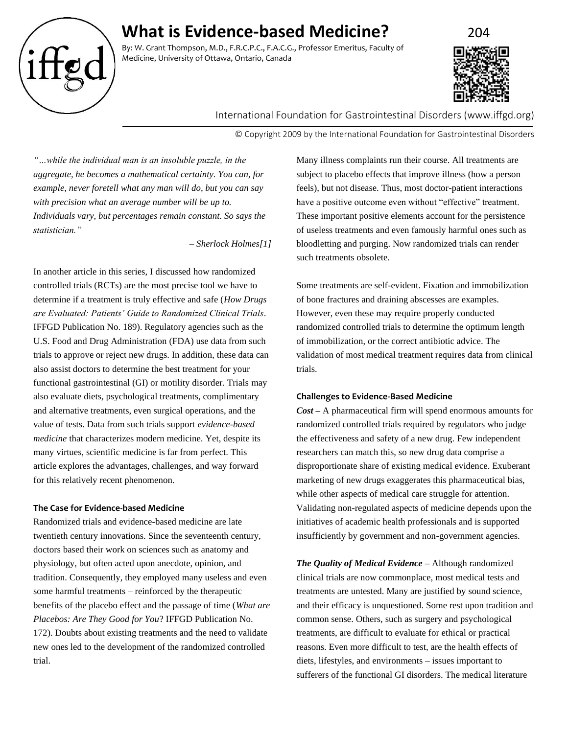# **What is Evidence-based Medicine?** 204

By: W. Grant Thompson, M.D., F.R.C.P.C., F.A.C.G., Professor Emeritus, Faculty of Medicine, University of Ottawa, Ontario, Canada



International Foundation for Gastrointestinal Disorders (www.iffgd.org)

© Copyright 2009 by the International Foundation for Gastrointestinal Disorders

*"…while the individual man is an insoluble puzzle, in the aggregate, he becomes a mathematical certainty. You can, for example, never foretell what any man will do, but you can say with precision what an average number will be up to. Individuals vary, but percentages remain constant. So says the statistician."*

*– Sherlock Holmes[1]*

In another article in this series, I discussed how randomized controlled trials (RCTs) are the most precise tool we have to determine if a treatment is truly effective and safe (*How Drugs are Evaluated: Patients' Guide to Randomized Clinical Trials*. IFFGD Publication No. 189). Regulatory agencies such as the U.S. Food and Drug Administration (FDA) use data from such trials to approve or reject new drugs. In addition, these data can also assist doctors to determine the best treatment for your functional gastrointestinal (GI) or motility disorder. Trials may also evaluate diets, psychological treatments, complimentary and alternative treatments, even surgical operations, and the value of tests. Data from such trials support *evidence-based medicine* that characterizes modern medicine. Yet, despite its many virtues, scientific medicine is far from perfect. This article explores the advantages, challenges, and way forward for this relatively recent phenomenon.

# **The Case for Evidence-based Medicine**

Randomized trials and evidence-based medicine are late twentieth century innovations. Since the seventeenth century, doctors based their work on sciences such as anatomy and physiology, but often acted upon anecdote, opinion, and tradition. Consequently, they employed many useless and even some harmful treatments – reinforced by the therapeutic benefits of the placebo effect and the passage of time (*What are Placebos: Are They Good for You*? IFFGD Publication No. 172). Doubts about existing treatments and the need to validate new ones led to the development of the randomized controlled trial.

Many illness complaints run their course. All treatments are subject to placebo effects that improve illness (how a person feels), but not disease. Thus, most doctor-patient interactions have a positive outcome even without "effective" treatment. These important positive elements account for the persistence of useless treatments and even famously harmful ones such as bloodletting and purging. Now randomized trials can render such treatments obsolete.

Some treatments are self-evident. Fixation and immobilization of bone fractures and draining abscesses are examples. However, even these may require properly conducted randomized controlled trials to determine the optimum length of immobilization, or the correct antibiotic advice. The validation of most medical treatment requires data from clinical trials.

## **Challenges to Evidence-Based Medicine**

*Cost –* A pharmaceutical firm will spend enormous amounts for randomized controlled trials required by regulators who judge the effectiveness and safety of a new drug. Few independent researchers can match this, so new drug data comprise a disproportionate share of existing medical evidence. Exuberant marketing of new drugs exaggerates this pharmaceutical bias, while other aspects of medical care struggle for attention. Validating non-regulated aspects of medicine depends upon the initiatives of academic health professionals and is supported insufficiently by government and non-government agencies.

*The Quality of Medical Evidence –* Although randomized clinical trials are now commonplace, most medical tests and treatments are untested. Many are justified by sound science, and their efficacy is unquestioned. Some rest upon tradition and common sense. Others, such as surgery and psychological treatments, are difficult to evaluate for ethical or practical reasons. Even more difficult to test, are the health effects of diets, lifestyles, and environments – issues important to sufferers of the functional GI disorders. The medical literature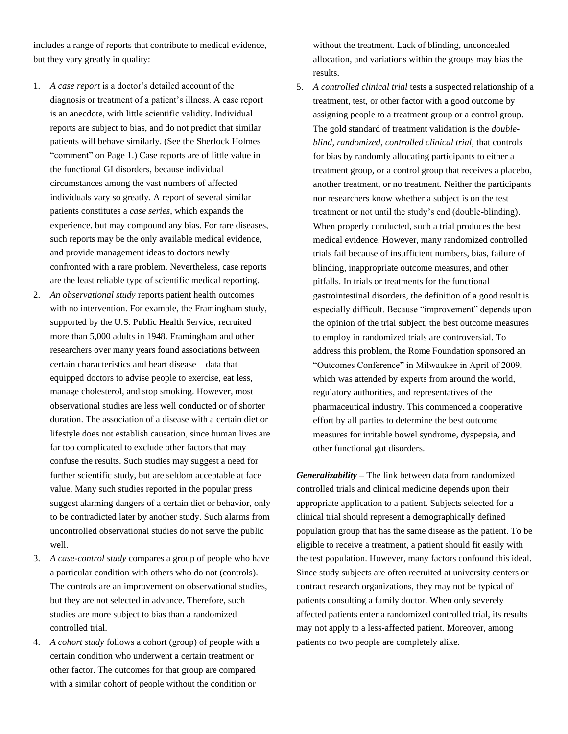includes a range of reports that contribute to medical evidence, but they vary greatly in quality:

- 1. *A case report* is a doctor's detailed account of the diagnosis or treatment of a patient's illness. A case report is an anecdote, with little scientific validity. Individual reports are subject to bias, and do not predict that similar patients will behave similarly. (See the Sherlock Holmes "comment" on Page 1.) Case reports are of little value in the functional GI disorders, because individual circumstances among the vast numbers of affected individuals vary so greatly. A report of several similar patients constitutes a *case series*, which expands the experience, but may compound any bias. For rare diseases, such reports may be the only available medical evidence, and provide management ideas to doctors newly confronted with a rare problem. Nevertheless, case reports are the least reliable type of scientific medical reporting.
- 2. *An observational study* reports patient health outcomes with no intervention. For example, the Framingham study, supported by the U.S. Public Health Service, recruited more than 5,000 adults in 1948. Framingham and other researchers over many years found associations between certain characteristics and heart disease – data that equipped doctors to advise people to exercise, eat less, manage cholesterol, and stop smoking. However, most observational studies are less well conducted or of shorter duration. The association of a disease with a certain diet or lifestyle does not establish causation, since human lives are far too complicated to exclude other factors that may confuse the results. Such studies may suggest a need for further scientific study, but are seldom acceptable at face value. Many such studies reported in the popular press suggest alarming dangers of a certain diet or behavior, only to be contradicted later by another study. Such alarms from uncontrolled observational studies do not serve the public well.
- 3. *A case-control study* compares a group of people who have a particular condition with others who do not (controls). The controls are an improvement on observational studies, but they are not selected in advance. Therefore, such studies are more subject to bias than a randomized controlled trial.
- 4. *A cohort study* follows a cohort (group) of people with a certain condition who underwent a certain treatment or other factor. The outcomes for that group are compared with a similar cohort of people without the condition or

without the treatment. Lack of blinding, unconcealed allocation, and variations within the groups may bias the results.

5. *A controlled clinical trial* tests a suspected relationship of a treatment, test, or other factor with a good outcome by assigning people to a treatment group or a control group. The gold standard of treatment validation is the *doubleblind, randomized, controlled clinical trial*, that controls for bias by randomly allocating participants to either a treatment group, or a control group that receives a placebo, another treatment, or no treatment. Neither the participants nor researchers know whether a subject is on the test treatment or not until the study's end (double-blinding). When properly conducted, such a trial produces the best medical evidence. However, many randomized controlled trials fail because of insufficient numbers, bias, failure of blinding, inappropriate outcome measures, and other pitfalls. In trials or treatments for the functional gastrointestinal disorders, the definition of a good result is especially difficult. Because "improvement" depends upon the opinion of the trial subject, the best outcome measures to employ in randomized trials are controversial. To address this problem, the Rome Foundation sponsored an "Outcomes Conference" in Milwaukee in April of 2009, which was attended by experts from around the world, regulatory authorities, and representatives of the pharmaceutical industry. This commenced a cooperative effort by all parties to determine the best outcome measures for irritable bowel syndrome, dyspepsia, and other functional gut disorders.

*Generalizability –* The link between data from randomized controlled trials and clinical medicine depends upon their appropriate application to a patient. Subjects selected for a clinical trial should represent a demographically defined population group that has the same disease as the patient. To be eligible to receive a treatment, a patient should fit easily with the test population. However, many factors confound this ideal. Since study subjects are often recruited at university centers or contract research organizations, they may not be typical of patients consulting a family doctor. When only severely affected patients enter a randomized controlled trial, its results may not apply to a less-affected patient. Moreover, among patients no two people are completely alike.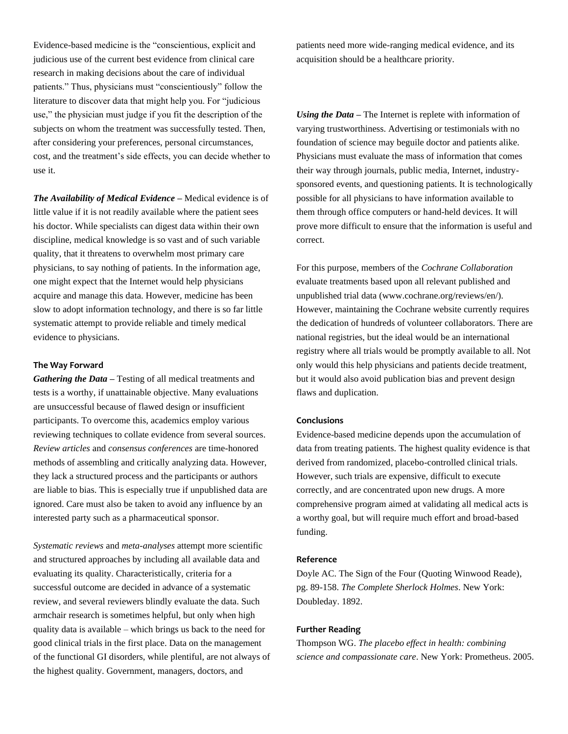Evidence-based medicine is the "conscientious, explicit and judicious use of the current best evidence from clinical care research in making decisions about the care of individual patients." Thus, physicians must "conscientiously" follow the literature to discover data that might help you. For "judicious use," the physician must judge if you fit the description of the subjects on whom the treatment was successfully tested. Then, after considering your preferences, personal circumstances, cost, and the treatment's side effects, you can decide whether to use it.

*The Availability of Medical Evidence –* Medical evidence is of little value if it is not readily available where the patient sees his doctor. While specialists can digest data within their own discipline, medical knowledge is so vast and of such variable quality, that it threatens to overwhelm most primary care physicians, to say nothing of patients. In the information age, one might expect that the Internet would help physicians acquire and manage this data. However, medicine has been slow to adopt information technology, and there is so far little systematic attempt to provide reliable and timely medical evidence to physicians.

## **The Way Forward**

*Gathering the Data –* Testing of all medical treatments and tests is a worthy, if unattainable objective. Many evaluations are unsuccessful because of flawed design or insufficient participants. To overcome this, academics employ various reviewing techniques to collate evidence from several sources. *Review articles* and *consensus conferences* are time-honored methods of assembling and critically analyzing data. However, they lack a structured process and the participants or authors are liable to bias. This is especially true if unpublished data are ignored. Care must also be taken to avoid any influence by an interested party such as a pharmaceutical sponsor.

*Systematic reviews* and *meta-analyses* attempt more scientific and structured approaches by including all available data and evaluating its quality. Characteristically, criteria for a successful outcome are decided in advance of a systematic review, and several reviewers blindly evaluate the data. Such armchair research is sometimes helpful, but only when high quality data is available – which brings us back to the need for good clinical trials in the first place. Data on the management of the functional GI disorders, while plentiful, are not always of the highest quality. Government, managers, doctors, and

patients need more wide-ranging medical evidence, and its acquisition should be a healthcare priority.

*Using the Data –* The Internet is replete with information of varying trustworthiness. Advertising or testimonials with no foundation of science may beguile doctor and patients alike. Physicians must evaluate the mass of information that comes their way through journals, public media, Internet, industrysponsored events, and questioning patients. It is technologically possible for all physicians to have information available to them through office computers or hand-held devices. It will prove more difficult to ensure that the information is useful and correct.

For this purpose, members of the *Cochrane Collaboration* evaluate treatments based upon all relevant published and unpublished trial data (www.cochrane.org/reviews/en/). However, maintaining the Cochrane website currently requires the dedication of hundreds of volunteer collaborators. There are national registries, but the ideal would be an international registry where all trials would be promptly available to all. Not only would this help physicians and patients decide treatment, but it would also avoid publication bias and prevent design flaws and duplication.

#### **Conclusions**

Evidence-based medicine depends upon the accumulation of data from treating patients. The highest quality evidence is that derived from randomized, placebo-controlled clinical trials. However, such trials are expensive, difficult to execute correctly, and are concentrated upon new drugs. A more comprehensive program aimed at validating all medical acts is a worthy goal, but will require much effort and broad-based funding.

## **Reference**

Doyle AC. The Sign of the Four (Quoting Winwood Reade), pg. 89-158. *The Complete Sherlock Holmes*. New York: Doubleday. 1892.

## **Further Reading**

Thompson WG. *The placebo effect in health: combining science and compassionate care*. New York: Prometheus. 2005.